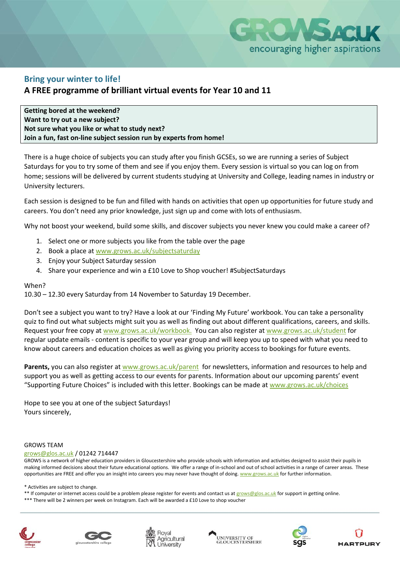

## **Bring your winter to life!**

## **A FREE programme of brilliant virtual events for Year 10 and 11**

**Getting bored at the weekend? Want to try out a new subject? Not sure what you like or what to study next? Join a fun, fast on-line subject session run by experts from home!**

There is a huge choice of subjects you can study after you finish GCSEs, so we are running a series of Subject Saturdays for you to try some of them and see if you enjoy them. Every session is virtual so you can log on from home; sessions will be delivered by current students studying at University and College, leading names in industry or University lecturers.

Each session is designed to be fun and filled with hands on activities that open up opportunities for future study and careers. You don't need any prior knowledge, just sign up and come with lots of enthusiasm.

Why not boost your weekend, build some skills, and discover subjects you never knew you could make a career of?

- 1. Select one or more subjects you like from the table over the page
- 2. Book a place a[t www.grows.ac.uk/subjectsaturday](http://www.grows.ac.uk/subjectsaturday)
- 3. Enjoy your Subject Saturday session
- 4. Share your experience and win a £10 Love to Shop voucher! #SubjectSaturdays

### When?

10.30 – 12.30 every Saturday from 14 November to Saturday 19 December.

Don't see a subject you want to try? Have a look at our 'Finding My Future' workbook. You can take a personality quiz to find out what subjects might suit you as well as finding out about different qualifications, careers, and skills. Request your free copy a[t www.grows.ac.uk/w](http://www.grows.ac.uk/)orkbook. You can also register at [www.grows.ac.uk/student](http://www.grows.ac.uk/student) for regular update emails - content is specific to your year group and will keep you up to speed with what you need to know about careers and education choices as well as giving you priority access to bookings for future events.

**Parents,** you can also register at [www.grows.ac.uk/](http://www.grows.ac.uk/)parent for newsletters, information and resources to help and support you as well as getting access to our events for parents. Information about our upcoming parents' event "Supporting Future Choices" is included with this letter. Bookings can be made at [www.grows.ac.uk/choices](http://www.grows.ac.uk/choices)

Hope to see you at one of the subject Saturdays! Yours sincerely,

#### GROWS TEAM

[grows@glos.ac.uk](mailto:grows@glos.ac.uk) / 01242 714447

GROWS is a network of higher education providers in Gloucestershire who provide schools with information and activities designed to assist their pupils in making informed decisions about their future educational options. We offer a range of in-school and out of school activities in a range of career areas. These opportunities are FREE and offer you an insight into careers you may never have thought of doing[. www.grows.ac.uk](http://www.grows.ac.uk/) for further information.

\* Activities are subject to change.

\*\* If computer or internet access could be a problem please register for events and contact us at [grows@glos.ac.uk](mailto:grows@glos.ac.uk) for support in getting online.

\*\*\* There will be 2 winners per week on Instagram. Each will be awarded a £10 Love to shop voucher